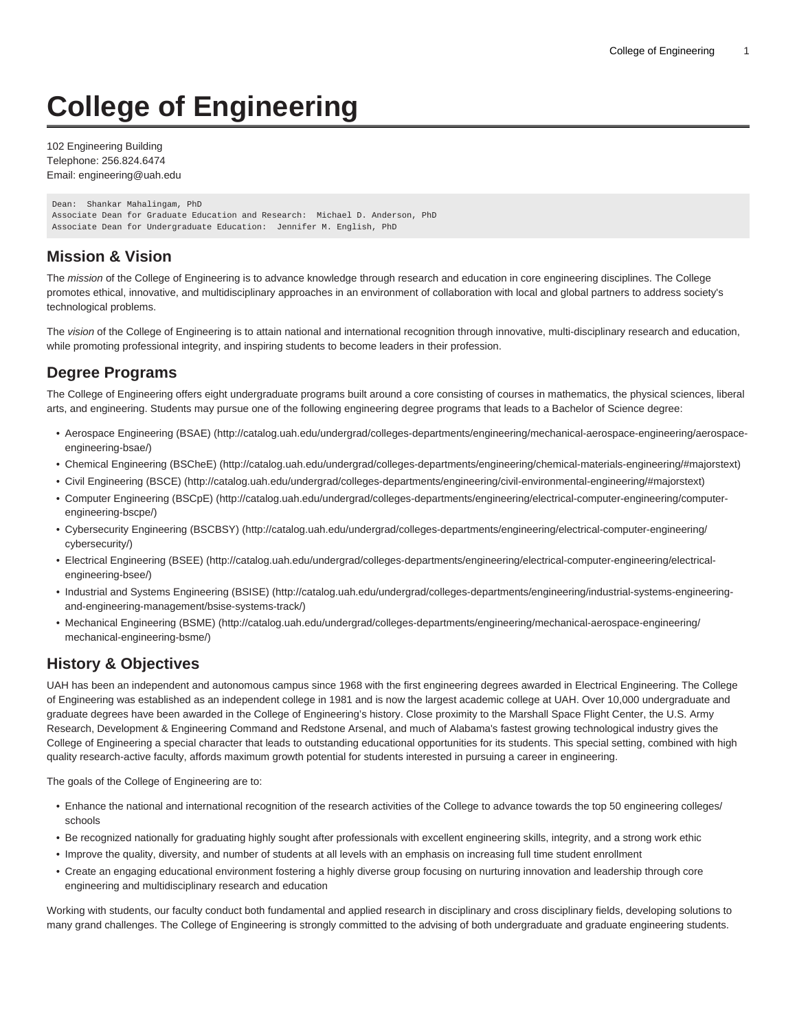# **College of Engineering**

102 Engineering Building Telephone: 256.824.6474 Email: [engineering@uah.edu](mailto:engineering@uah.edu)

```
Dean: Shankar Mahalingam, PhD
Associate Dean for Graduate Education and Research: Michael D. Anderson, PhD
Associate Dean for Undergraduate Education: Jennifer M. English, PhD
```
## **Mission & Vision**

The mission of the College of Engineering is to advance knowledge through research and education in core engineering disciplines. The College promotes ethical, innovative, and multidisciplinary approaches in an environment of collaboration with local and global partners to address society's technological problems.

The vision of the College of Engineering is to attain national and international recognition through innovative, multi-disciplinary research and education, while promoting professional integrity, and inspiring students to become leaders in their profession.

# **Degree Programs**

The College of Engineering offers eight undergraduate programs built around a core consisting of courses in mathematics, the physical sciences, liberal arts, and engineering. Students may pursue one of the following engineering degree programs that leads to a Bachelor of Science degree:

- [Aerospace Engineering \(BSAE\)](http://catalog.uah.edu/undergrad/colleges-departments/engineering/mechanical-aerospace-engineering/aerospace-engineering-bsae/) ([http://catalog.uah.edu/undergrad/colleges-departments/engineering/mechanical-aerospace-engineering/aerospace](http://catalog.uah.edu/undergrad/colleges-departments/engineering/mechanical-aerospace-engineering/aerospace-engineering-bsae/)[engineering-bsae/](http://catalog.uah.edu/undergrad/colleges-departments/engineering/mechanical-aerospace-engineering/aerospace-engineering-bsae/))
- [Chemical Engineering \(BSCheE\)](http://catalog.uah.edu/undergrad/colleges-departments/engineering/chemical-materials-engineering/#majorstext) [\(http://catalog.uah.edu/undergrad/colleges-departments/engineering/chemical-materials-engineering/#majorstext\)](http://catalog.uah.edu/undergrad/colleges-departments/engineering/chemical-materials-engineering/#majorstext)
- [Civil Engineering \(BSCE\)](http://catalog.uah.edu/undergrad/colleges-departments/engineering/civil-environmental-engineering/#majorstext) [\(http://catalog.uah.edu/undergrad/colleges-departments/engineering/civil-environmental-engineering/#majorstext](http://catalog.uah.edu/undergrad/colleges-departments/engineering/civil-environmental-engineering/#majorstext))
- [Computer Engineering \(BSCpE\)](http://catalog.uah.edu/undergrad/colleges-departments/engineering/electrical-computer-engineering/computer-engineering-bscpe/) ([http://catalog.uah.edu/undergrad/colleges-departments/engineering/electrical-computer-engineering/computer](http://catalog.uah.edu/undergrad/colleges-departments/engineering/electrical-computer-engineering/computer-engineering-bscpe/)[engineering-bscpe/](http://catalog.uah.edu/undergrad/colleges-departments/engineering/electrical-computer-engineering/computer-engineering-bscpe/))
- [Cybersecurity Engineering \(BSCBSY\)](http://catalog.uah.edu/undergrad/colleges-departments/engineering/electrical-computer-engineering/cybersecurity/) ([http://catalog.uah.edu/undergrad/colleges-departments/engineering/electrical-computer-engineering/](http://catalog.uah.edu/undergrad/colleges-departments/engineering/electrical-computer-engineering/cybersecurity/) [cybersecurity/](http://catalog.uah.edu/undergrad/colleges-departments/engineering/electrical-computer-engineering/cybersecurity/))
- [Electrical Engineering \(BSEE\)](http://catalog.uah.edu/undergrad/colleges-departments/engineering/electrical-computer-engineering/electrical-engineering-bsee/) [\(http://catalog.uah.edu/undergrad/colleges-departments/engineering/electrical-computer-engineering/electrical](http://catalog.uah.edu/undergrad/colleges-departments/engineering/electrical-computer-engineering/electrical-engineering-bsee/)[engineering-bsee/](http://catalog.uah.edu/undergrad/colleges-departments/engineering/electrical-computer-engineering/electrical-engineering-bsee/))
- [Industrial and Systems Engineering \(BSISE\)](http://catalog.uah.edu/undergrad/colleges-departments/engineering/industrial-systems-engineering-and-engineering-management/bsise-systems-track/) ([http://catalog.uah.edu/undergrad/colleges-departments/engineering/industrial-systems-engineering](http://catalog.uah.edu/undergrad/colleges-departments/engineering/industrial-systems-engineering-and-engineering-management/bsise-systems-track/)[and-engineering-management/bsise-systems-track/](http://catalog.uah.edu/undergrad/colleges-departments/engineering/industrial-systems-engineering-and-engineering-management/bsise-systems-track/))
- [Mechanical Engineering \(BSME\) \(http://catalog.uah.edu/undergrad/colleges-departments/engineering/mechanical-aerospace-engineering/](http://catalog.uah.edu/undergrad/colleges-departments/engineering/mechanical-aerospace-engineering/mechanical-engineering-bsme/) [mechanical-engineering-bsme/](http://catalog.uah.edu/undergrad/colleges-departments/engineering/mechanical-aerospace-engineering/mechanical-engineering-bsme/))

# **History & Objectives**

UAH has been an independent and autonomous campus since 1968 with the first engineering degrees awarded in Electrical Engineering. The College of Engineering was established as an independent college in 1981 and is now the largest academic college at UAH. Over 10,000 undergraduate and graduate degrees have been awarded in the College of Engineering's history. Close proximity to the Marshall Space Flight Center, the U.S. Army Research, Development & Engineering Command and Redstone Arsenal, and much of Alabama's fastest growing technological industry gives the College of Engineering a special character that leads to outstanding educational opportunities for its students. This special setting, combined with high quality research-active faculty, affords maximum growth potential for students interested in pursuing a career in engineering.

The goals of the College of Engineering are to:

- Enhance the national and international recognition of the research activities of the College to advance towards the top 50 engineering colleges/ schools
- Be recognized nationally for graduating highly sought after professionals with excellent engineering skills, integrity, and a strong work ethic
- Improve the quality, diversity, and number of students at all levels with an emphasis on increasing full time student enrollment
- Create an engaging educational environment fostering a highly diverse group focusing on nurturing innovation and leadership through core engineering and multidisciplinary research and education

Working with students, our faculty conduct both fundamental and applied research in disciplinary and cross disciplinary fields, developing solutions to many grand challenges. The College of Engineering is strongly committed to the advising of both undergraduate and graduate engineering students.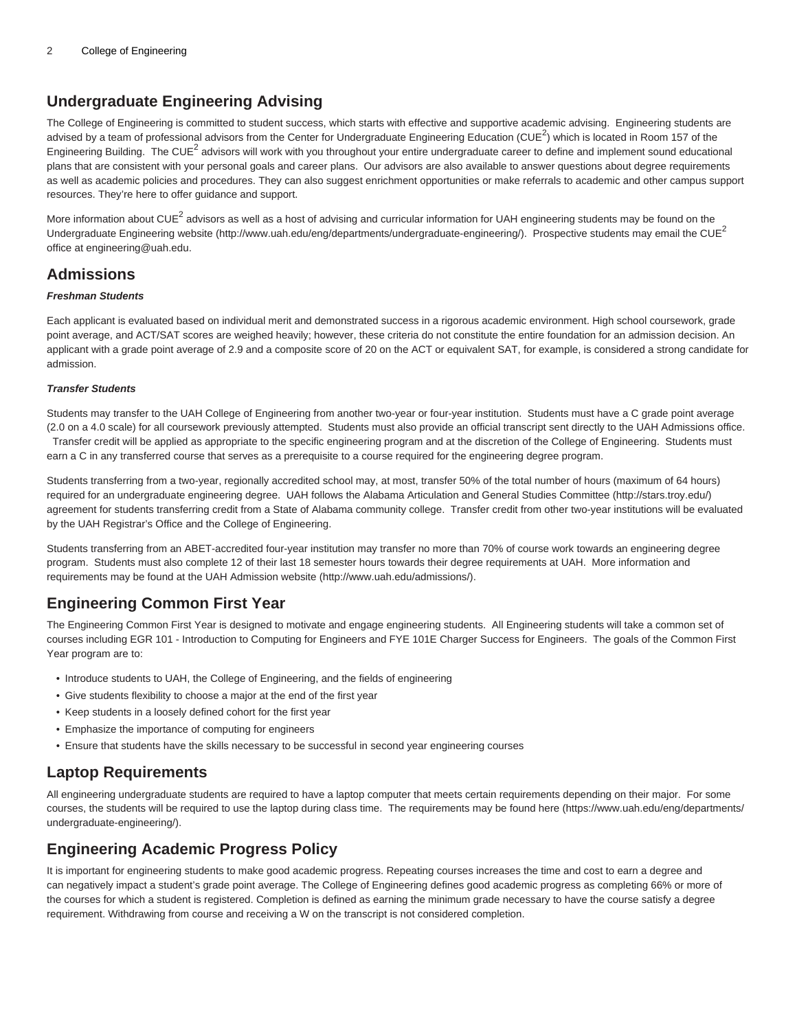# **Undergraduate Engineering Advising**

The College of Engineering is committed to student success, which starts with effective and supportive academic advising. Engineering students are advised by a team of professional advisors from the Center for Undergraduate Engineering Education (CUE<sup>2</sup>) which is located in Room 157 of the Engineering Building. The CUE<sup>2</sup> advisors will work with you throughout your entire undergraduate career to define and implement sound educational plans that are consistent with your personal goals and career plans. Our advisors are also available to answer questions about degree requirements as well as academic policies and procedures. They can also suggest enrichment opportunities or make referrals to academic and other campus support resources. They're here to offer guidance and support.

More information about CUE<sup>2</sup> advisors as well as a host of advising and curricular information for UAH engineering students may be found on the [Undergraduate Engineering website](http://www.uah.edu/eng/departments/undergraduate-engineering/) (<http://www.uah.edu/eng/departments/undergraduate-engineering/>). Prospective students may email the CUE<sup>2</sup> office at [engineering@uah.edu](mailto:engineering@uah.edu).

## **Admissions**

#### **Freshman Students**

Each applicant is evaluated based on individual merit and demonstrated success in a rigorous academic environment. High school coursework, grade point average, and ACT/SAT scores are weighed heavily; however, these criteria do not constitute the entire foundation for an admission decision. An applicant with a grade point average of 2.9 and a composite score of 20 on the ACT or equivalent SAT, for example, is considered a strong candidate for admission.

#### **Transfer Students**

Students may transfer to the UAH College of Engineering from another two-year or four-year institution. Students must have a C grade point average (2.0 on a 4.0 scale) for all coursework previously attempted. Students must also provide an official transcript sent directly to the UAH Admissions office. Transfer credit will be applied as appropriate to the specific engineering program and at the discretion of the College of Engineering. Students must earn a C in any transferred course that serves as a prerequisite to a course required for the engineering degree program.

Students transferring from a two-year, regionally accredited school may, at most, transfer 50% of the total number of hours (maximum of 64 hours) required for an undergraduate engineering degree. UAH follows the [Alabama Articulation and General Studies Committee](http://stars.troy.edu/) (<http://stars.troy.edu/>) agreement for students transferring credit from a State of Alabama community college. Transfer credit from other two-year institutions will be evaluated by the UAH Registrar's Office and the College of Engineering.

Students transferring from an ABET-accredited four-year institution may transfer no more than 70% of course work towards an engineering degree program. Students must also complete 12 of their last 18 semester hours towards their degree requirements at UAH. More information and requirements may be found at the [UAH Admission website](http://www.uah.edu/admissions/) [\(http://www.uah.edu/admissions/](http://www.uah.edu/admissions/)).

## **Engineering Common First Year**

The Engineering Common First Year is designed to motivate and engage engineering students. All Engineering students will take a common set of courses including EGR 101 - Introduction to Computing for Engineers and FYE 101E Charger Success for Engineers. The goals of the Common First Year program are to:

- Introduce students to UAH, the College of Engineering, and the fields of engineering
- Give students flexibility to choose a major at the end of the first year
- Keep students in a loosely defined cohort for the first year
- Emphasize the importance of computing for engineers
- Ensure that students have the skills necessary to be successful in second year engineering courses

## **Laptop Requirements**

All engineering undergraduate students are required to have a laptop computer that meets certain requirements depending on their major. For some courses, the students will be required to use the laptop during class time. The requirements may be found [here](https://www.uah.edu/eng/departments/undergraduate-engineering/) ([https://www.uah.edu/eng/departments/](https://www.uah.edu/eng/departments/undergraduate-engineering/) [undergraduate-engineering/\)](https://www.uah.edu/eng/departments/undergraduate-engineering/).

## **Engineering Academic Progress Policy**

It is important for engineering students to make good academic progress. Repeating courses increases the time and cost to earn a degree and can negatively impact a student's grade point average. The College of Engineering defines good academic progress as completing 66% or more of the courses for which a student is registered. Completion is defined as earning the minimum grade necessary to have the course satisfy a degree requirement. Withdrawing from course and receiving a W on the transcript is not considered completion.